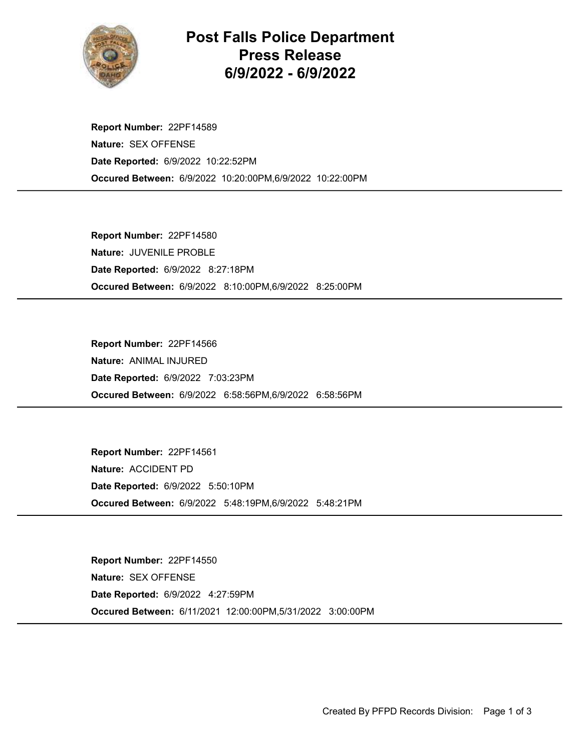

## Post Falls Police Department Press Release 6/9/2022 - 6/9/2022

Occured Between: 6/9/2022 10:20:00PM,6/9/2022 10:22:00PM Report Number: 22PF14589 Nature: SEX OFFENSE Date Reported: 6/9/2022 10:22:52PM

Occured Between: 6/9/2022 8:10:00PM,6/9/2022 8:25:00PM Report Number: 22PF14580 Nature: JUVENILE PROBLE Date Reported: 6/9/2022 8:27:18PM

Occured Between: 6/9/2022 6:58:56PM,6/9/2022 6:58:56PM Report Number: 22PF14566 Nature: ANIMAL INJURED Date Reported: 6/9/2022 7:03:23PM

Occured Between: 6/9/2022 5:48:19PM,6/9/2022 5:48:21PM Report Number: 22PF14561 Nature: ACCIDENT PD Date Reported: 6/9/2022 5:50:10PM

Occured Between: 6/11/2021 12:00:00PM,5/31/2022 3:00:00PM Report Number: 22PF14550 Nature: SEX OFFENSE Date Reported: 6/9/2022 4:27:59PM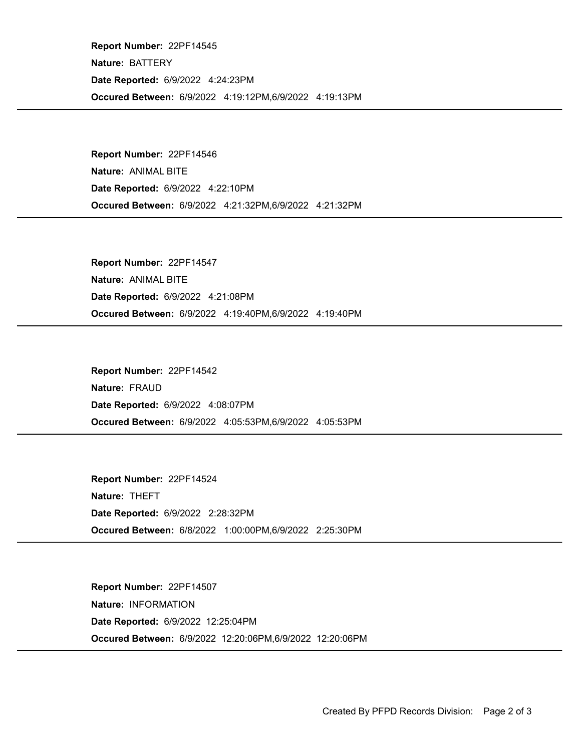Occured Between: 6/9/2022 4:19:12PM,6/9/2022 4:19:13PM Report Number: 22PF14545 Nature: BATTERY Date Reported: 6/9/2022 4:24:23PM

Occured Between: 6/9/2022 4:21:32PM,6/9/2022 4:21:32PM Report Number: 22PF14546 Nature: ANIMAL BITE Date Reported: 6/9/2022 4:22:10PM

Occured Between: 6/9/2022 4:19:40PM,6/9/2022 4:19:40PM Report Number: 22PF14547 Nature: ANIMAL BITE Date Reported: 6/9/2022 4:21:08PM

Occured Between: 6/9/2022 4:05:53PM,6/9/2022 4:05:53PM Report Number: 22PF14542 Nature: FRAUD Date Reported: 6/9/2022 4:08:07PM

Occured Between: 6/8/2022 1:00:00PM,6/9/2022 2:25:30PM Report Number: 22PF14524 Nature: THEFT Date Reported: 6/9/2022 2:28:32PM

Occured Between: 6/9/2022 12:20:06PM,6/9/2022 12:20:06PM Report Number: 22PF14507 Nature: INFORMATION Date Reported: 6/9/2022 12:25:04PM